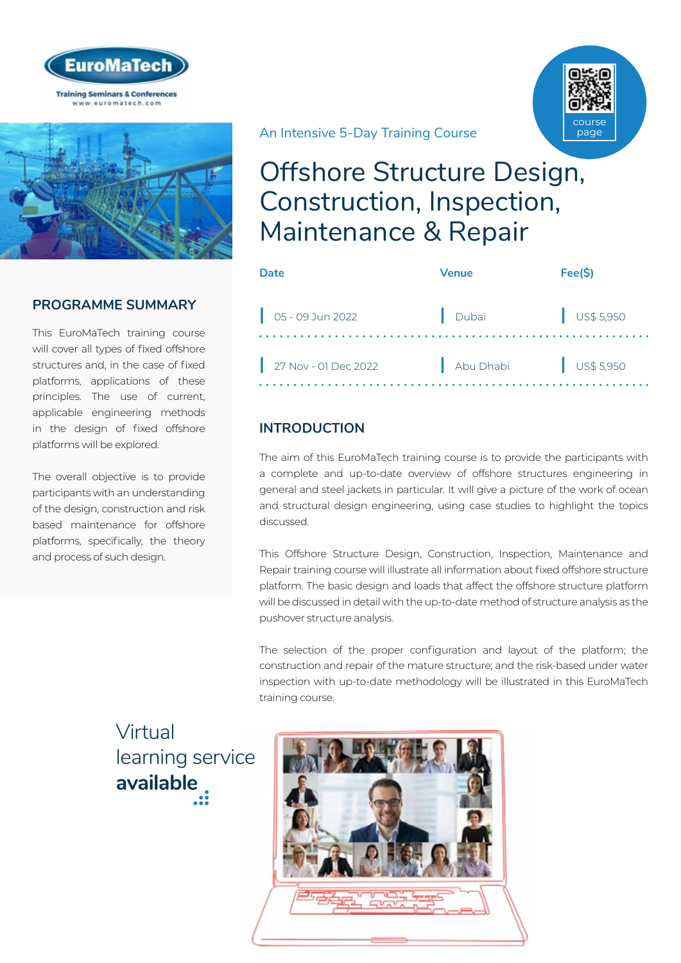



## **PROGRAMME SUMMARY**

This EuroMaTech training course will cover all types of fixed offshore structures and, in the case of fixed platforms, applications of these principles. The use of current, applicable engineering methods in the design of fixed offshore platforms will be explored.

The overall objective is to provide participants with an understanding of the design, construction and risk based maintenance for offshore platforms, specifically, the theory and process of such design.

## An Intensive 5-Day Training Course



# Offshore Structure Design, Construction, Inspection, Maintenance & Repair

| Date                           | <b>Venue</b> | Fee(S)               |
|--------------------------------|--------------|----------------------|
| $\bigcup_{1}$ 05 - 09 Jun 2022 | Dubai        | $\bigcup$ US\$ 5,950 |
| 27 Nov - 01 Dec 2022           | Abu Dhabi    | $\bigcup$ US\$ 5,950 |

## **INTRODUCTION**

The aim of this EuroMaTech training course is to provide the participants with a complete and up-to-date overview of offshore structures engineering in general and steel jackets in particular. It will give a picture of the work of ocean and structural design engineering, using case studies to highlight the topics discussed.

This Offshore Structure Design, Construction, Inspection, Maintenance and Repair training course will illustrate all information about fixed offshore structure platform. The basic design and loads that affect the offshore structure platform will be discussed in detail with the up-to-date method of structure analysis as the pushover structure analysis.

The selection of the proper configuration and layout of the platform; the construction and repair of the mature structure; and the risk-based under water inspection with up-to-date methodology will be illustrated in this EuroMaTech training course.

Virtual [learning service](https://www.euromatech.com/seminars/offshore-structure-design-construction-inspection-maintenance-repair-1/)  **available**

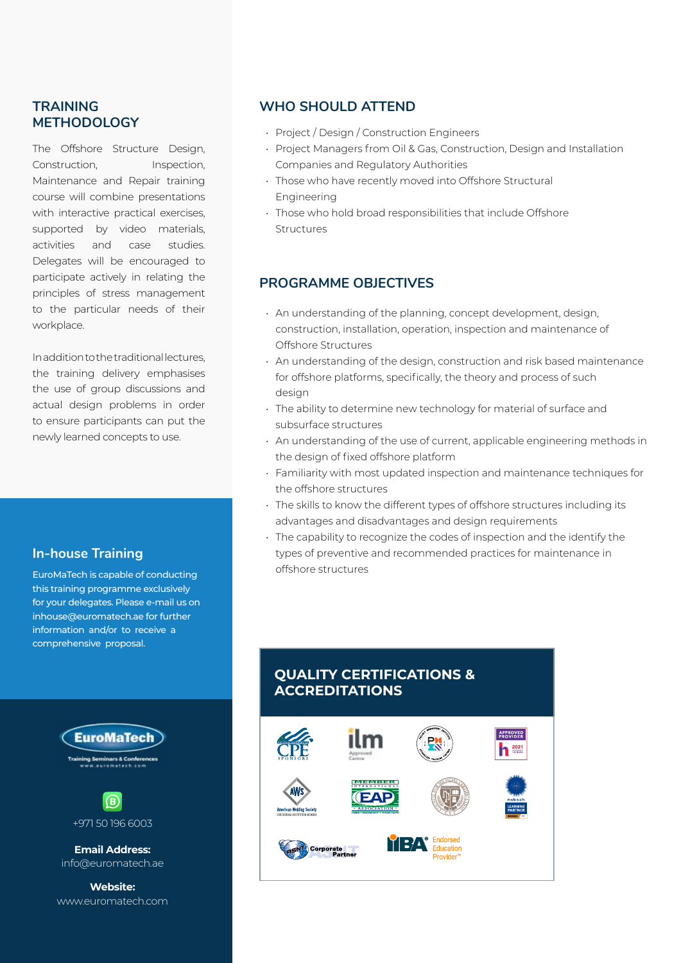#### **TRAINING METHODOLOGY**

The Offshore Structure Design, Construction, Inspection, Maintenance and Repair training course will combine presentations with interactive practical exercises, supported by video materials, activities and case studies. Delegates will be encouraged to participate actively in relating the principles of stress management to the particular needs of their workplace.

In addition to the traditional lectures, the training delivery emphasises the use of group discussions and actual design problems in order to ensure participants can put the newly learned concepts to use.

#### **In-house Training**

EuroMaTech is capable of conducting this training programme exclusively for your delegates. Please e-mail us on inhouse@euromatech.ae for further information and/or to receive a comprehensive proposal.





**Email Address:** info@euromatech.ae

**Website:** www.euromatech.com

#### **WHO SHOULD ATTEND**

- Project / Design / Construction Engineers
- Project Managers from Oil & Gas, Construction, Design and Installation Companies and Regulatory Authorities
- Those who have recently moved into Offshore Structural Engineering
- Those who hold broad responsibilities that include Offshore Structures

### **PROGRAMME OBJECTIVES**

- An understanding of the planning, concept development, design, construction, installation, operation, inspection and maintenance of Offshore Structures
- An understanding of the design, construction and risk based maintenance for offshore platforms, specifically, the theory and process of such design
- The ability to determine new technology for material of surface and subsurface structures
- An understanding of the use of current, applicable engineering methods in the design of fixed offshore platform
- Familiarity with most updated inspection and maintenance techniques for the offshore structures
- The skills to know the different types of offshore structures including its advantages and disadvantages and design requirements
- The capability to recognize the codes of inspection and the identify the types of preventive and recommended practices for maintenance in offshore structures

## **QUALITY CERTIFICATIONS & ACCREDITATIONS**

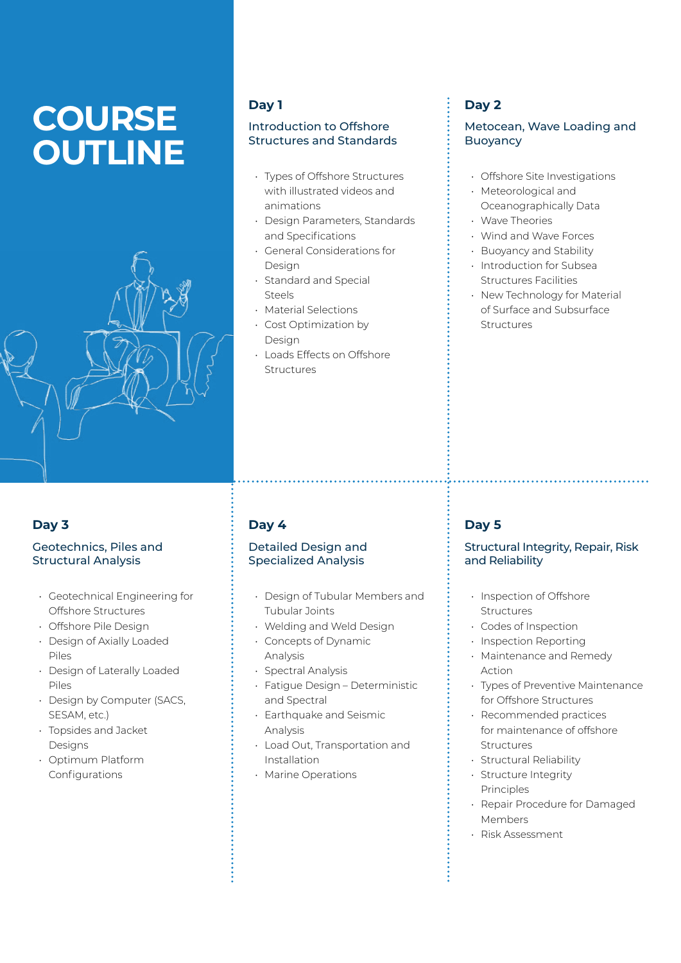# **COURSE OUTLINE**



#### **Day 1**

#### Introduction to Offshore Structures and Standards

- Types of Offshore Structures with illustrated videos and animations
- Design Parameters, Standards and Specifications
- General Considerations for Design
- Standard and Special Steels
- Material Selections
- Cost Optimization by Design
- Loads Effects on Offshore Structures

## **Day 2**

#### Metocean, Wave Loading and Buoyancy

- Offshore Site Investigations
- Meteorological and Oceanographically Data • Wave Theories
- Wind and Wave Forces
- Buoyancy and Stability
- Introduction for Subsea Structures Facilities
- New Technology for Material of Surface and Subsurface Structures

## **Day 3**

#### Geotechnics, Piles and Structural Analysis

- Geotechnical Engineering for Offshore Structures
- Offshore Pile Design
- Design of Axially Loaded Piles
- Design of Laterally Loaded Piles
- Design by Computer (SACS, SESAM, etc.)
- Topsides and Jacket Designs
- Optimum Platform Configurations

## **Day 4**

#### Detailed Design and Specialized Analysis

- Design of Tubular Members and Tubular Joints
- Welding and Weld Design
- Concepts of Dynamic Analysis
- Spectral Analysis
- Fatigue Design Deterministic and Spectral
- Earthquake and Seismic Analysis
- Load Out, Transportation and Installation
- Marine Operations

## **Day 5**

#### Structural Integrity, Repair, Risk and Reliability

- Inspection of Offshore Structures
- Codes of Inspection
- Inspection Reporting
- Maintenance and Remedy Action
- Types of Preventive Maintenance for Offshore Structures
- Recommended practices for maintenance of offshore Structures
- Structural Reliability
- Structure Integrity Principles
- Repair Procedure for Damaged Members
- Risk Assessment